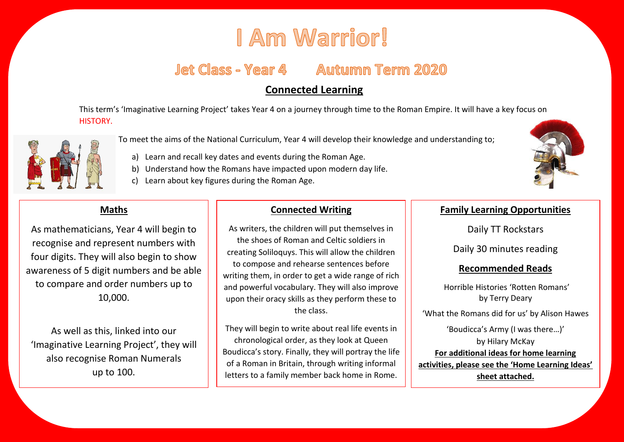# I Am Warrior!

## **Jet Class - Year 4 Autumn Term 2020**

## **Connected Learning**

This term's 'Imaginative Learning Project' takes Year 4 on a journey through time to the Roman Empire. It will have a key focus on HISTORY.



- To meet the aims of the National Curriculum, Year 4 will develop their knowledge and understanding to;
	- a) Learn and recall key dates and events during the Roman Age.
	- b) Understand how the Romans have impacted upon modern day life.
	- c) Learn about key figures during the Roman Age.

## **Maths**

As mathematicians, Year 4 will begin to recognise and represent numbers with four digits. They will also begin to show awareness of 5 digit numbers and be able to compare and order numbers up to 10,000.

As well as this, linked into our 'Imaginative Learning Project', they will also recognise Roman Numerals up to 100.

### **Connected Writing**

As writers, the children will put themselves in the shoes of Roman and Celtic soldiers in creating Soliloquys. This will allow the children to compose and rehearse sentences before writing them, in order to get a wide range of rich and powerful vocabulary. They will also improve upon their oracy skills as they perform these to the class.

They will begin to write about real life events in chronological order, as they look at Queen Boudicca's story. Finally, they will portray the life of a Roman in Britain, through writing informal letters to a family member back home in Rome.

#### **Family Learning Opportunities**

Daily TT Rockstars

Daily 30 minutes reading

#### **Recommended Reads**

Horrible Histories 'Rotten Romans' by Terry Deary

'What the Romans did for us' by Alison Hawes

'Boudicca's Army (I was there…)' by Hilary McKay **For additional ideas for home learning activities, please see the 'Home Learning Ideas' sheet attached.**